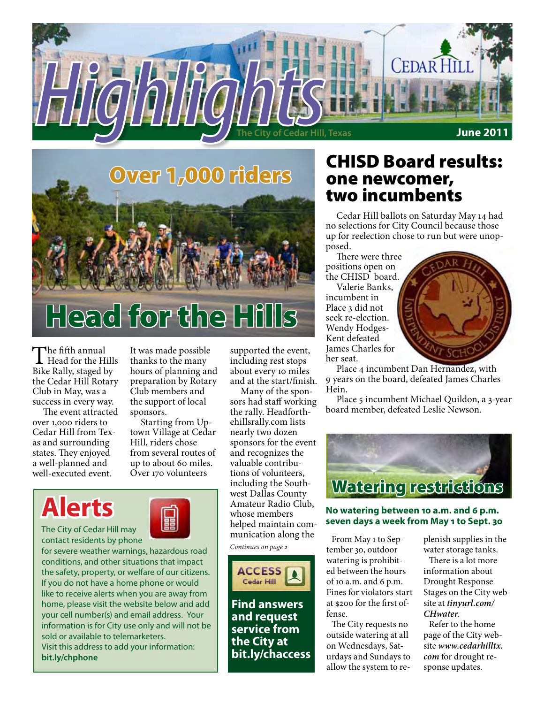



The fifth annual<br>Head for the Hills<br>Bilse Rally staged by Bike Rally, staged by the Cedar Hill Rotary Club in May, was a success in every way.

The event attracted over 1,000 riders to Cedar Hill from Texas and surrounding states. They enjoyed a well-planned and well-executed event.

It was made possible thanks to the many hours of planning and preparation by Rotary Club members and the support of local sponsors.

Starting from Uptown Village at Cedar Hill, riders chose from several routes of up to about 60 miles. Over 170 volunteers

# **Alerts**



for severe weather warnings, hazardous road conditions, and other situations that impact the safety, property, or welfare of our citizens. If you do not have a home phone or would like to receive alerts when you are away from home, please visit the website below and add your cell number(s) and email address. Your information is for City use only and will not be sold or available to telemarketers. Visit this address to add your information: **bit.ly/chphone**

supported the event, including rest stops about every 10 miles and at the start/finish.

Many of the sponsors had staff working the rally. Headforthehillsrally.com lists nearly two dozen sponsors for the event and recognizes the valuable contributions of volunteers, including the Southwest Dallas County Amateur Radio Club, whose members helped maintain communication along the

*Continues on page 2*



**Find answers and request service from the City at bit.ly/chaccess**

# CHISD Board results: one newcomer, two incumbents

Cedar Hill ballots on Saturday May 14 had no selections for City Council because those up for reelection chose to run but were unopposed.

There were three positions open on the CHISD board.

Valerie Banks, incumbent in Place 3 did not seek re-election. Wendy Hodges-Kent defeated James Charles for her seat.



Place 5 incumbent Michael Quildon, a 3-year board member, defeated Leslie Newson.



#### **No watering between 10 a.m. and 6 p.m. seven days a week from May 1 to Sept. 30**

From May 1 to September 30, outdoor watering is prohibited between the hours of 10 a.m. and 6 p.m. Fines for violators start at \$200 for the first offense.

The City requests no outside watering at all on Wednesdays, Saturdays and Sundays to allow the system to replenish supplies in the water storage tanks.

There is a lot more information about Drought Response Stages on the City website at *tinyurl.com/ CHwater*.

Refer to the home page of the City website *www.cedarhilltx. com* for drought response updates.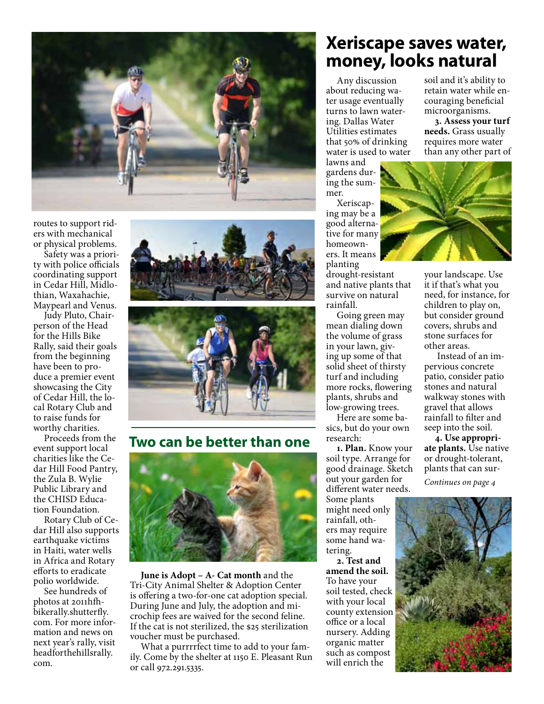

routes to support riders with mechanical or physical problems.

Safety was a priority with police officials coordinating support in Cedar Hill, Midlothian, Waxahachie, Maypearl and Venus.

Judy Pluto, Chairperson of the Head for the Hills Bike Rally, said their goals from the beginning have been to produce a premier event showcasing the City of Cedar Hill, the local Rotary Club and to raise funds for worthy charities.

Proceeds from the event support local charities like the Cedar Hill Food Pantry, the Zula B. Wylie Public Library and the CHISD Education Foundation.

Rotary Club of Cedar Hill also supports earthquake victims in Haiti, water wells in Africa and Rotary efforts to eradicate polio worldwide.

See hundreds of photos at 2011hfhbikerally.shutterfly. com. For more information and news on next year's rally, visit headforthehillsrally. com.





#### **Two can be better than one**



**June is Adopt – A- Cat month** and the Tri-City Animal Shelter & Adoption Center is offering a two-for-one cat adoption special. During June and July, the adoption and microchip fees are waived for the second feline. If the cat is not sterilized, the \$25 sterilization voucher must be purchased.

What a purrrrfect time to add to your family. Come by the shelter at 1150 E. Pleasant Run or call 972.291.5335.

# **Xeriscape saves water, money, looks natural**

Any discussion about reducing water usage eventually turns to lawn watering. Dallas Water Utilities estimates that 50% of drinking water is used to water

lawns and gardens during the summer.

Xeriscaping may be a good alternative for many homeowners. It means planting

drought-resistant and native plants that survive on natural rainfall.

Going green may mean dialing down the volume of grass in your lawn, giving up some of that solid sheet of thirsty turf and including more rocks, flowering plants, shrubs and low-growing trees.

Here are some basics, but do your own research:

**1. Plan.** Know your soil type. Arrange for good drainage. Sketch out your garden for different water needs.

Some plants might need only rainfall, others may require some hand watering.

**2. Test and amend the soil.** To have your soil tested, check with your local county extension office or a local nursery. Adding organic matter such as compost will enrich the

soil and it's ability to retain water while encouraging beneficial microorganisms.

**3. Assess your turf needs.** Grass usually requires more water than any other part of



your landscape. Use it if that's what you need, for instance, for children to play on, but consider ground covers, shrubs and stone surfaces for other areas.

 Instead of an impervious concrete patio, consider patio stones and natural walkway stones with gravel that allows rainfall to filter and seep into the soil.

**4. Use appropriate plants.** Use native or drought-tolerant, plants that can sur-

*Continues on page 4*

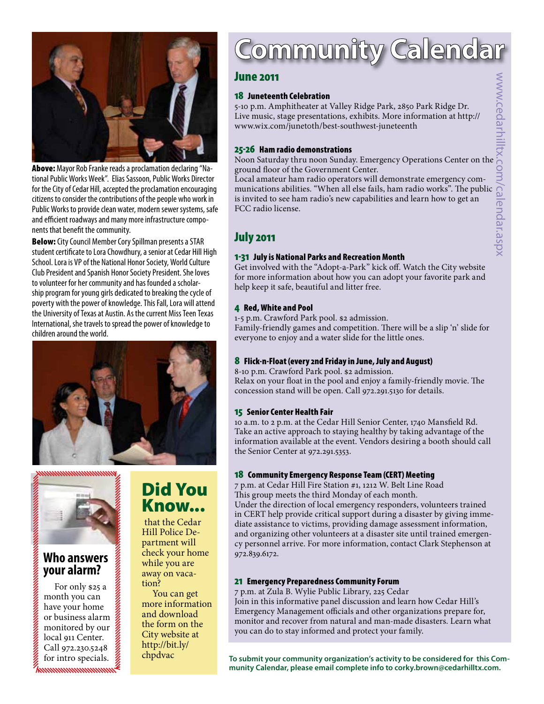

Above: Mayor Rob Franke reads a proclamation declaring "National Public Works Week". Elias Sassoon, Public Works Director for the City of Cedar Hill, accepted the proclamation encouraging citizens to consider the contributions of the people who work in Public Works to provide clean water, modern sewer systems, safe and efficient roadways and many more infrastructure components that benefit the community.

Below: City Council Member Cory Spillman presents a STAR student certificate to Lora Chowdhury, a senior at Cedar Hill High School. Lora is VP of the National Honor Society, World Culture Club President and Spanish Honor Society President. She loves to volunteer for her community and has founded a scholarship program for young girls dedicated to breaking the cycle of poverty with the power of knowledge. This Fall, Lora will attend the University of Texas at Austin. As the current Miss Teen Texas International, she travels to spread the power of knowledge to children around the world.





#### **Who answers your alarm?**

For only \$25 a month you can have your home or business alarm monitored by our local 911 Center. Call 972.230.5248 for intro specials.

# Did You Know...

that the Cedar Hill Police Department will check your home while you are away on vacation?

You can get more information and download the form on the City website at http://bit.ly/ chpdvac

# **Community Calendar**

#### June 2011

#### 18 Juneteenth Celebration

5-10 p.m. Amphitheater at Valley Ridge Park, 2850 Park Ridge Dr. Live music, stage presentations, exhibits. More information at http:// www.wix.com/junet0th/best-southwest-juneteenth **Solution Saturday thru noon Sunday:** Emergency Operations Center on the ground floor of the Government Center.<br>
Experiment of the Government Center.<br> **And Saturday thru noon Sunday. Emergency Operations Center on the gro** 

#### 25-26 Ham radio demonstrations

ground floor of the Government Center.

Local amateur ham radio operators will demonstrate emergency com-Local amateur ham radio operators will demonstrate emergency com-<br>munications abilities. "When all else fails, ham radio works". The public<br>is invited to see ham radio's new capabilities and learn how to get an<br>FCC radio is invited to see ham radio's new capabilities and learn how to get an FCC radio license.

### July 2011

#### 1-31 July is National Parks and Recreation Month

Get involved with the "Adopt-a-Park" kick off. Watch the City website for more information about how you can adopt your favorite park and help keep it safe, beautiful and litter free.

#### 4 Red, White and Pool

1-5 p.m. Crawford Park pool. \$2 admission.

Family-friendly games and competition. There will be a slip 'n' slide for everyone to enjoy and a water slide for the little ones.

#### 8 Flick-n-Float (every 2nd Friday in June, July and August)

8-10 p.m. Crawford Park pool. \$2 admission. Relax on your float in the pool and enjoy a family-friendly movie. The concession stand will be open. Call 972.291.5130 for details.

#### 15 Senior Center Health Fair

10 a.m. to 2 p.m. at the Cedar Hill Senior Center, 1740 Mansfield Rd. Take an active approach to staying healthy by taking advantage of the information available at the event. Vendors desiring a booth should call the Senior Center at 972.291.5353.

#### 18 Community Emergency Response Team (CERT) Meeting

7 p.m. at Cedar Hill Fire Station #1, 1212 W. Belt Line Road This group meets the third Monday of each month. Under the direction of local emergency responders, volunteers trained in CERT help provide critical support during a disaster by giving immediate assistance to victims, providing damage assessment information, and organizing other volunteers at a disaster site until trained emergency personnel arrive. For more information, contact Clark Stephenson at 972.839.6172. **Figure 2011**<br> **16 Landential Celebration**<br> **16 Landential Celebration**<br> **Extremation and Proparities Southwest Juncteenth**<br> **Extremation And domendation**<br> **Extremation and domendation**<br> **1876 Ham radio domendation**<br> **1876** 

#### 21 Emergency Preparedness Community Forum

7 p.m. at Zula B. Wylie Public Library, 225 Cedar

Join in this informative panel discussion and learn how Cedar Hill's Emergency Management officials and other organizations prepare for, monitor and recover from natural and man-made disasters. Learn what you can do to stay informed and protect your family.

**To submit your community organization's activity to be considered for this Com-**